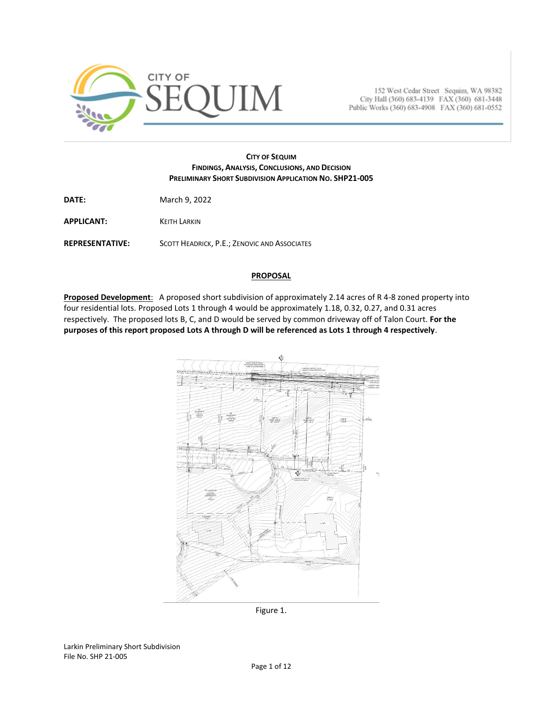

152 West Cedar Street Sequim, WA 98382 City Hall (360) 683-4139 FAX (360) 681-3448 Public Works (360) 683-4908 FAX (360) 681-0552

### **CITY OF SEQUIM FINDINGS, ANALYSIS, CONCLUSIONS, AND DECISION PRELIMINARY SHORT SUBDIVISION APPLICATION NO. SHP21-005**

**DATE:** March 9, 2022

**APPLICANT:** KEITH LARKIN

**REPRESENTATIVE:** SCOTT HEADRICK, P.E.; ZENOVIC AND ASSOCIATES

### **PROPOSAL**

**Proposed Development**: A proposed short subdivision of approximately 2.14 acres of R 4-8 zoned property into four residential lots. Proposed Lots 1 through 4 would be approximately 1.18, 0.32, 0.27, and 0.31 acres respectively. The proposed lots B, C, and D would be served by common driveway off of Talon Court. **For the purposes of this report proposed Lots A through D will be referenced as Lots 1 through 4 respectively**.



Figure 1.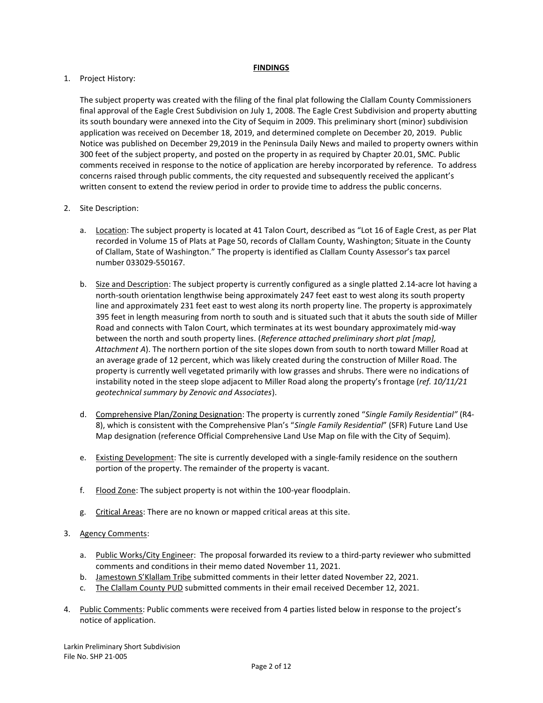### **FINDINGS**

# 1. Project History:

The subject property was created with the filing of the final plat following the Clallam County Commissioners final approval of the Eagle Crest Subdivision on July 1, 2008. The Eagle Crest Subdivision and property abutting its south boundary were annexed into the City of Sequim in 2009. This preliminary short (minor) subdivision application was received on December 18, 2019, and determined complete on December 20, 2019. Public Notice was published on December 29,2019 in the Peninsula Daily News and mailed to property owners within 300 feet of the subject property, and posted on the property in as required by Chapter 20.01, SMC. Public comments received in response to the notice of application are hereby incorporated by reference. To address concerns raised through public comments, the city requested and subsequently received the applicant's written consent to extend the review period in order to provide time to address the public concerns.

# 2. Site Description:

- a. Location: The subject property is located at 41 Talon Court, described as "Lot 16 of Eagle Crest, as per Plat recorded in Volume 15 of Plats at Page 50, records of Clallam County, Washington; Situate in the County of Clallam, State of Washington." The property is identified as Clallam County Assessor's tax parcel number 033029-550167.
- b. Size and Description: The subject property is currently configured as a single platted 2.14-acre lot having a north-south orientation lengthwise being approximately 247 feet east to west along its south property line and approximately 231 feet east to west along its north property line. The property is approximately 395 feet in length measuring from north to south and is situated such that it abuts the south side of Miller Road and connects with Talon Court, which terminates at its west boundary approximately mid-way between the north and south property lines. (*Reference attached preliminary short plat [map], Attachment A*). The northern portion of the site slopes down from south to north toward Miller Road at an average grade of 12 percent, which was likely created during the construction of Miller Road. The property is currently well vegetated primarily with low grasses and shrubs. There were no indications of instability noted in the steep slope adjacent to Miller Road along the property's frontage (*ref. 10/11/21 geotechnical summary by Zenovic and Associates*).
- d. Comprehensive Plan/Zoning Designation: The property is currently zoned "*Single Family Residential"* (R4- 8), which is consistent with the Comprehensive Plan's "*Single Family Residential*" (SFR) Future Land Use Map designation (reference Official Comprehensive Land Use Map on file with the City of Sequim).
- e. Existing Development: The site is currently developed with a single-family residence on the southern portion of the property. The remainder of the property is vacant.
- f. Flood Zone: The subject property is not within the 100-year floodplain.
- g. Critical Areas: There are no known or mapped critical areas at this site.

# 3. Agency Comments:

- a. Public Works/City Engineer: The proposal forwarded its review to a third-party reviewer who submitted comments and conditions in their memo dated November 11, 2021.
- b. Jamestown S'Klallam Tribe submitted comments in their letter dated November 22, 2021.
- c. The Clallam County PUD submitted comments in their email received December 12, 2021.
- 4. Public Comments: Public comments were received from 4 parties listed below in response to the project's notice of application.

Larkin Preliminary Short Subdivision File No. SHP 21-005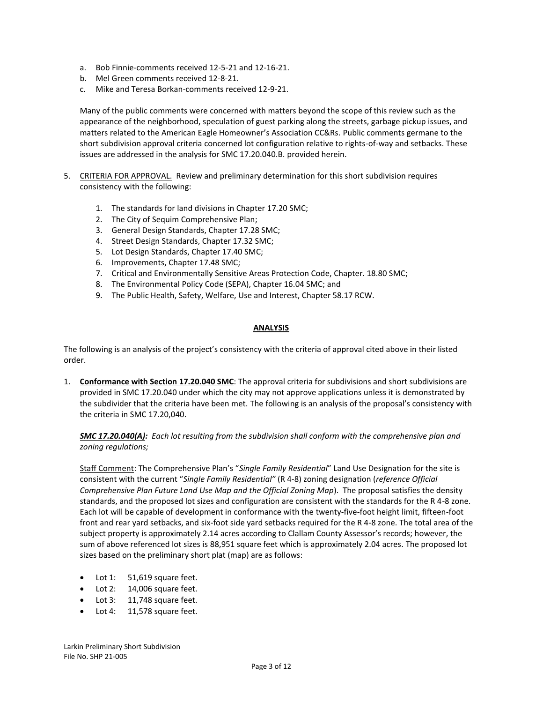- a. Bob Finnie-comments received 12-5-21 and 12-16-21.
- b. Mel Green comments received 12-8-21.
- c. Mike and Teresa Borkan-comments received 12-9-21.

Many of the public comments were concerned with matters beyond the scope of this review such as the appearance of the neighborhood, speculation of guest parking along the streets, garbage pickup issues, and matters related to the American Eagle Homeowner's Association CC&Rs. Public comments germane to the short subdivision approval criteria concerned lot configuration relative to rights-of-way and setbacks. These issues are addressed in the analysis for SMC 17.20.040.B. provided herein.

- 5. CRITERIA FOR APPROVAL. Review and preliminary determination for this short subdivision requires consistency with the following:
	- 1. The standards for land divisions in Chapter 17.20 SMC;
	- 2. The City of Sequim Comprehensive Plan;
	- 3. General Design Standards, Chapter 17.28 SMC;
	- 4. Street Design Standards, Chapter 17.32 SMC;
	- 5. Lot Design Standards, Chapter 17.40 SMC;
	- 6. Improvements, Chapter 17.48 SMC;
	- 7. Critical and Environmentally Sensitive Areas Protection Code, Chapter. 18.80 SMC;
	- 8. The Environmental Policy Code (SEPA), Chapter 16.04 SMC; and
	- 9. The Public Health, Safety, Welfare, Use and Interest, Chapter 58.17 RCW.

### **ANALYSIS**

The following is an analysis of the project's consistency with the criteria of approval cited above in their listed order.

1. **Conformance with Section 17.20.040 SMC**: The approval criteria for subdivisions and short subdivisions are provided in SMC 17.20.040 under which the city may not approve applications unless it is demonstrated by the subdivider that the criteria have been met. The following is an analysis of the proposal's consistency with the criteria in SMC 17.20,040.

*SMC 17.20.040(A): Each lot resulting from the subdivision shall conform with the comprehensive plan and zoning regulations;*

Staff Comment: The Comprehensive Plan's "*Single Family Residential*" Land Use Designation for the site is consistent with the current "*Single Family Residential"* (R 4-8) zoning designation (*reference Official Comprehensive Plan Future Land Use Map and the Official Zoning Map*). The proposal satisfies the density standards, and the proposed lot sizes and configuration are consistent with the standards for the R 4-8 zone. Each lot will be capable of development in conformance with the twenty-five-foot height limit, fifteen-foot front and rear yard setbacks, and six-foot side yard setbacks required for the R 4-8 zone. The total area of the subject property is approximately 2.14 acres according to Clallam County Assessor's records; however, the sum of above referenced lot sizes is 88,951 square feet which is approximately 2.04 acres. The proposed lot sizes based on the preliminary short plat (map) are as follows:

- Lot 1: 51,619 square feet.
- Lot 2: 14,006 square feet.
- Lot 3: 11,748 square feet.
- Lot 4: 11,578 square feet.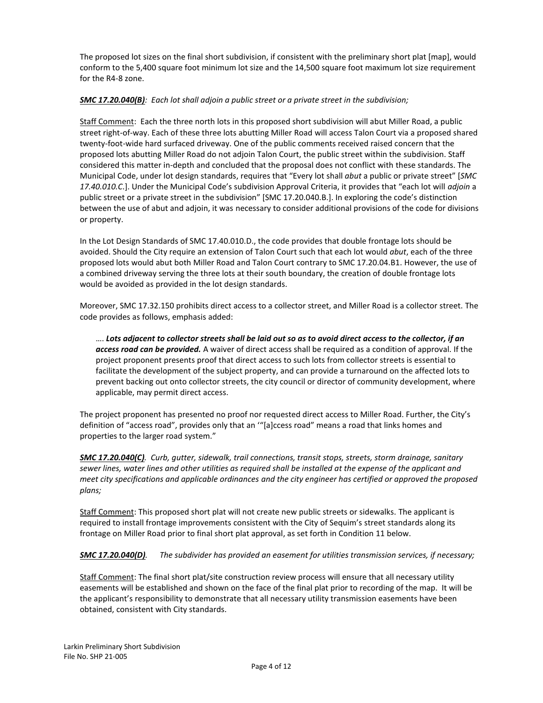The proposed lot sizes on the final short subdivision, if consistent with the preliminary short plat [map], would conform to the 5,400 square foot minimum lot size and the 14,500 square foot maximum lot size requirement for the R4-8 zone.

# *SMC 17.20.040(B): Each lot shall adjoin a public street or a private street in the subdivision;*

Staff Comment: Each the three north lots in this proposed short subdivision will abut Miller Road, a public street right-of-way. Each of these three lots abutting Miller Road will access Talon Court via a proposed shared twenty-foot-wide hard surfaced driveway. One of the public comments received raised concern that the proposed lots abutting Miller Road do not adjoin Talon Court, the public street within the subdivision. Staff considered this matter in-depth and concluded that the proposal does not conflict with these standards. The Municipal Code, under lot design standards, requires that "Every lot shall *abut* a public or private street" [*SMC 17.40.010.C*.]. Under the Municipal Code's subdivision Approval Criteria, it provides that "each lot will *adjoin* a public street or a private street in the subdivision" [SMC 17.20.040.B.]. In exploring the code's distinction between the use of abut and adjoin, it was necessary to consider additional provisions of the code for divisions or property.

In the Lot Design Standards of SMC 17.40.010.D., the code provides that double frontage lots should be avoided. Should the City require an extension of Talon Court such that each lot would *abut*, each of the three proposed lots would abut both Miller Road and Talon Court contrary to SMC 17.20.04.B1. However, the use of a combined driveway serving the three lots at their south boundary, the creation of double frontage lots would be avoided as provided in the lot design standards.

Moreover, SMC 17.32.150 prohibits direct access to a collector street, and Miller Road is a collector street. The code provides as follows, emphasis added:

…. *Lots adjacent to collector streets shall be laid out so as to avoid direct access to the collector, if an access road can be provided.* A waiver of direct access shall be required as a condition of approval. If the project proponent presents proof that direct access to such lots from collector streets is essential to facilitate the development of the subject property, and can provide a turnaround on the affected lots to prevent backing out onto collector streets, the city council or director of community development, where applicable, may permit direct access.

The project proponent has presented no proof nor requested direct access to Miller Road. Further, the City's definition of "access road", provides only that an '"[a]ccess road" means a road that links homes and properties to the larger road system."

*SMC 17.20.040(C). Curb, gutter, sidewalk, trail connections, transit stops, streets, storm drainage, sanitary sewer lines, water lines and other utilities as required shall be installed at the expense of the applicant and meet city specifications and applicable ordinances and the city engineer has certified or approved the proposed plans;*

Staff Comment: This proposed short plat will not create new public streets or sidewalks. The applicant is required to install frontage improvements consistent with the City of Sequim's street standards along its frontage on Miller Road prior to final short plat approval, as set forth in Condition 11 below.

*SMC 17.20.040(D). The subdivider has provided an easement for utilities transmission services, if necessary;*

Staff Comment: The final short plat/site construction review process will ensure that all necessary utility easements will be established and shown on the face of the final plat prior to recording of the map. It will be the applicant's responsibility to demonstrate that all necessary utility transmission easements have been obtained, consistent with City standards.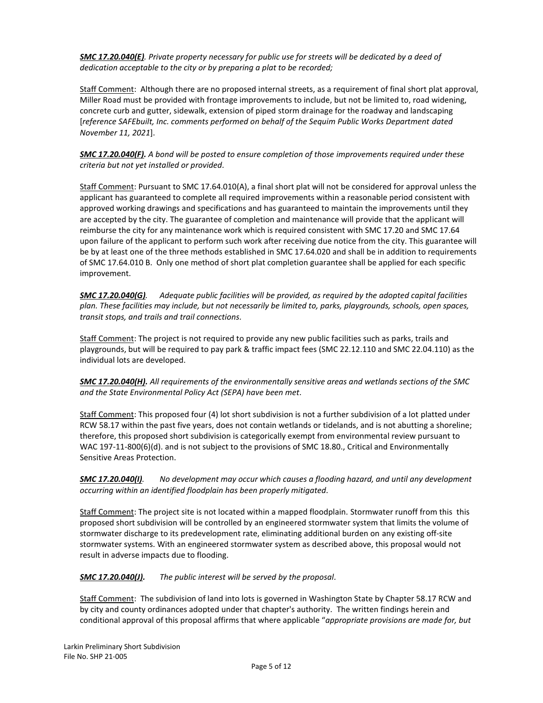*SMC 17.20.040(E). Private property necessary for public use for streets will be dedicated by a deed of dedication acceptable to the city or by preparing a plat to be recorded;*

Staff Comment: Although there are no proposed internal streets, as a requirement of final short plat approval, Miller Road must be provided with frontage improvements to include, but not be limited to, road widening, concrete curb and gutter, sidewalk, extension of piped storm drainage for the roadway and landscaping [*reference SAFEbuilt, Inc. comments performed on behalf of the Sequim Public Works Department dated November 11, 2021*].

*SMC 17.20.040(F). A bond will be posted to ensure completion of those improvements required under these criteria but not yet installed or provided.* 

Staff Comment: Pursuant to SMC 17.64.010(A), a final short plat will not be considered for approval unless the applicant has guaranteed to complete all required improvements within a reasonable period consistent with approved working drawings and specifications and has guaranteed to maintain the improvements until they are accepted by the city. The guarantee of completion and maintenance will provide that the applicant will reimburse the city for any maintenance work which is required consistent with SMC 17.20 and SMC 17.64 upon failure of the applicant to perform such work after receiving due notice from the city. This guarantee will be by at least one of the three methods established in SMC 17.64.020 and shall be in addition to requirements of SMC 17.64.010 B. Only one method of short plat completion guarantee shall be applied for each specific improvement.

*SMC 17.20.040(G). Adequate public facilities will be provided, as required by the adopted capital facilities plan. These facilities may include, but not necessarily be limited to, parks, playgrounds, schools, open spaces, transit stops, and trails and trail connections.* 

Staff Comment: The project is not required to provide any new public facilities such as parks, trails and playgrounds, but will be required to pay park & traffic impact fees (SMC 22.12.110 and SMC 22.04.110) as the individual lots are developed.

*SMC 17.20.040(H). All requirements of the environmentally sensitive areas and wetlands sections of the SMC and the State Environmental Policy Act (SEPA) have been met.* 

Staff Comment: This proposed four (4) lot short subdivision is not a further subdivision of a lot platted under RCW 58.17 within the past five years, does not contain wetlands or tidelands, and is not abutting a shoreline; therefore, this proposed short subdivision is categorically exempt from environmental review pursuant to WAC 197-11-800(6)(d). and is not subject to the provisions of SMC 18.80., Critical and Environmentally Sensitive Areas Protection.

*SMC 17.20.040(I). No development may occur which causes a flooding hazard, and until any development occurring within an identified floodplain has been properly mitigated.* 

Staff Comment: The project site is not located within a mapped floodplain. Stormwater runoff from this this proposed short subdivision will be controlled by an engineered stormwater system that limits the volume of stormwater discharge to its predevelopment rate, eliminating additional burden on any existing off-site stormwater systems. With an engineered stormwater system as described above, this proposal would not result in adverse impacts due to flooding.

*SMC 17.20.040(J). The public interest will be served by the proposal.* 

Staff Comment: The subdivision of land into lots is governed in Washington State by Chapter 58.17 RCW and by city and county ordinances adopted under that chapter's authority. The written findings herein and conditional approval of this proposal affirms that where applicable "*appropriate provisions are made for, but*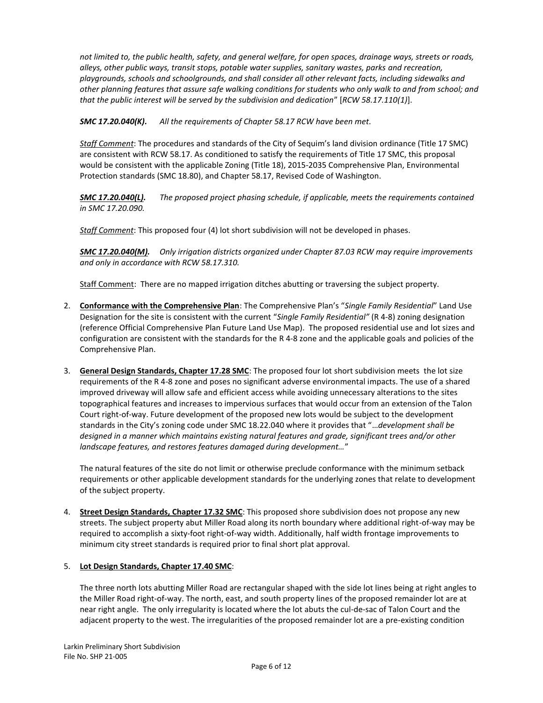*not limited to, the public health, safety, and general welfare, for open spaces, drainage ways, streets or roads, alleys, other public ways, transit stops, potable water supplies, sanitary wastes, parks and recreation, playgrounds, schools and schoolgrounds, and shall consider all other relevant facts, including sidewalks and other planning features that assure safe walking conditions for students who only walk to and from school; and that the public interest will be served by the subdivision and dedication*" [*RCW 58.17.110(1)*].

*SMC 17.20.040(K). All the requirements of Chapte[r 58.17](https://www.codepublishing.com/cgi-bin/rcw.pl?cite=58.17) RCW have been met.* 

*Staff Comment*: The procedures and standards of the City of Sequim's land division ordinance (Title 17 SMC) are consistent with RCW 58.17. As conditioned to satisfy the requirements of Title 17 SMC, this proposal would be consistent with the applicable Zoning (Title 18), 2015-2035 Comprehensive Plan, Environmental Protection standards (SMC 18.80), and Chapter 58.17, Revised Code of Washington.

*SMC 17.20.040(L). The proposed project phasing schedule, if applicable, meets the requirements contained in SM[C 17.20.090.](https://www.codepublishing.com/WA/Sequim/html/Sequim17/Sequim1720.html#17.20.090)*

*Staff Comment*: This proposed four (4) lot short subdivision will not be developed in phases.

*SMC 17.20.040(M). Only irrigation districts organized under Chapter 87.03 RCW may require improvements and only in accordance with RCW 58.17.310.*

Staff Comment: There are no mapped irrigation ditches abutting or traversing the subject property.

- 2. **Conformance with the Comprehensive Plan**: The Comprehensive Plan's "*Single Family Residential*" Land Use Designation for the site is consistent with the current "*Single Family Residential"* (R 4-8) zoning designation (reference Official Comprehensive Plan Future Land Use Map). The proposed residential use and lot sizes and configuration are consistent with the standards for the R 4-8 zone and the applicable goals and policies of the Comprehensive Plan.
- 3. **General Design Standards, Chapter 17.28 SMC**: The proposed four lot short subdivision meets the lot size requirements of the R 4-8 zone and poses no significant adverse environmental impacts. The use of a shared improved driveway will allow safe and efficient access while avoiding unnecessary alterations to the sites topographical features and increases to impervious surfaces that would occur from an extension of the Talon Court right-of-way. Future development of the proposed new lots would be subject to the development standards in the City's zoning code under SMC 18.22.040 where it provides that "…*development shall be designed in a manner which maintains existing natural features and grade, significant trees and/or other landscape features, and restores features damaged during development…*"

The natural features of the site do not limit or otherwise preclude conformance with the minimum setback requirements or other applicable development standards for the underlying zones that relate to development of the subject property.

4. **Street Design Standards, Chapter 17.32 SMC**: This proposed shore subdivision does not propose any new streets. The subject property abut Miller Road along its north boundary where additional right-of-way may be required to accomplish a sixty-foot right-of-way width. Additionally, half width frontage improvements to minimum city street standards is required prior to final short plat approval.

# 5. **Lot Design Standards, Chapter 17.40 SMC**:

The three north lots abutting Miller Road are rectangular shaped with the side lot lines being at right angles to the Miller Road right-of-way. The north, east, and south property lines of the proposed remainder lot are at near right angle. The only irregularity is located where the lot abuts the cul-de-sac of Talon Court and the adjacent property to the west. The irregularities of the proposed remainder lot are a pre-existing condition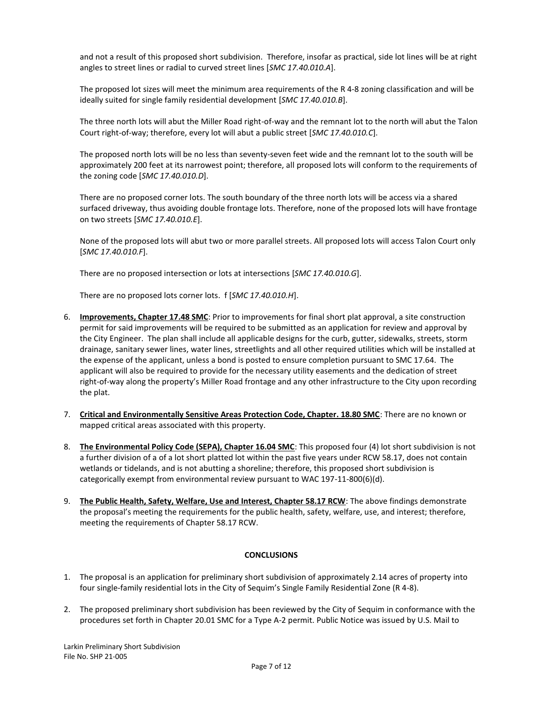and not a result of this proposed short subdivision. Therefore, insofar as practical, side lot lines will be at right angles to street lines or radial to curved street lines [*SMC 17.40.010.A*].

The proposed lot sizes will meet the minimum area requirements of the R 4-8 zoning classification and will be ideally suited for single family residential development [*SMC 17.40.010.B*].

The three north lots will abut the Miller Road right-of-way and the remnant lot to the north will abut the Talon Court right-of-way; therefore, every lot will abut a public street [*SMC 17.40.010.C*].

The proposed north lots will be no less than seventy-seven feet wide and the remnant lot to the south will be approximately 200 feet at its narrowest point; therefore, all proposed lots will conform to the requirements of the zoning code [*SMC 17.40.010.D*].

There are no proposed corner lots. The south boundary of the three north lots will be access via a shared surfaced driveway, thus avoiding double frontage lots. Therefore, none of the proposed lots will have frontage on two streets [*SMC 17.40.010.E*].

None of the proposed lots will abut two or more parallel streets. All proposed lots will access Talon Court only [*SMC 17.40.010.F*].

There are no proposed intersection or lots at intersections [*SMC 17.40.010.G*].

There are no proposed lots corner lots. f [*SMC 17.40.010.H*].

- 6. **Improvements, Chapter 17.48 SMC**: Prior to improvements for final short plat approval, a site construction permit for said improvements will be required to be submitted as an application for review and approval by the City Engineer. The plan shall include all applicable designs for the curb, gutter, sidewalks, streets, storm drainage, sanitary sewer lines, water lines, streetlights and all other required utilities which will be installed at the expense of the applicant, unless a bond is posted to ensure completion pursuant to SMC 17.64. The applicant will also be required to provide for the necessary utility easements and the dedication of street right-of-way along the property's Miller Road frontage and any other infrastructure to the City upon recording the plat.
- 7. **Critical and Environmentally Sensitive Areas Protection Code, Chapter. 18.80 SMC**: There are no known or mapped critical areas associated with this property.
- 8. **The Environmental Policy Code (SEPA), Chapter 16.04 SMC**: This proposed four (4) lot short subdivision is not a further division of a of a lot short platted lot within the past five years under RCW 58.17, does not contain wetlands or tidelands, and is not abutting a shoreline; therefore, this proposed short subdivision is categorically exempt from environmental review pursuant to WAC 197-11-800(6)(d).
- 9. **The Public Health, Safety, Welfare, Use and Interest, Chapter 58.17 RCW**: The above findings demonstrate the proposal's meeting the requirements for the public health, safety, welfare, use, and interest; therefore, meeting the requirements of Chapter 58.17 RCW.

# **CONCLUSIONS**

- 1. The proposal is an application for preliminary short subdivision of approximately 2.14 acres of property into four single-family residential lots in the City of Sequim's Single Family Residential Zone (R 4-8).
- 2. The proposed preliminary short subdivision has been reviewed by the City of Sequim in conformance with the procedures set forth in Chapter 20.01 SMC for a Type A-2 permit. Public Notice was issued by U.S. Mail to

Larkin Preliminary Short Subdivision File No. SHP 21-005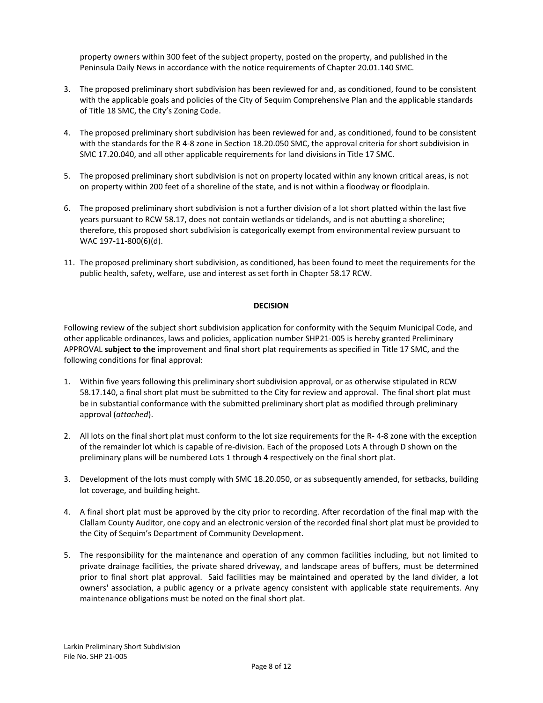property owners within 300 feet of the subject property, posted on the property, and published in the Peninsula Daily News in accordance with the notice requirements of Chapter 20.01.140 SMC.

- 3. The proposed preliminary short subdivision has been reviewed for and, as conditioned, found to be consistent with the applicable goals and policies of the City of Sequim Comprehensive Plan and the applicable standards of Title 18 SMC, the City's Zoning Code.
- 4. The proposed preliminary short subdivision has been reviewed for and, as conditioned, found to be consistent with the standards for the R 4-8 zone in Section 18.20.050 SMC, the approval criteria for short subdivision in SMC 17.20.040, and all other applicable requirements for land divisions in Title 17 SMC.
- 5. The proposed preliminary short subdivision is not on property located within any known critical areas, is not on property within 200 feet of a shoreline of the state, and is not within a floodway or floodplain.
- 6. The proposed preliminary short subdivision is not a further division of a lot short platted within the last five years pursuant to RCW 58.17, does not contain wetlands or tidelands, and is not abutting a shoreline; therefore, this proposed short subdivision is categorically exempt from environmental review pursuant to WAC 197-11-800(6)(d).
- 11. The proposed preliminary short subdivision, as conditioned, has been found to meet the requirements for the public health, safety, welfare, use and interest as set forth in Chapter 58.17 RCW.

# **DECISION**

Following review of the subject short subdivision application for conformity with the Sequim Municipal Code, and other applicable ordinances, laws and policies, application number SHP21-005 is hereby granted Preliminary APPROVAL **subject to the** improvement and final short plat requirements as specified in Title 17 SMC, and the following conditions for final approval:

- 1. Within five years following this preliminary short subdivision approval, or as otherwise stipulated in RCW 58.17.140, a final short plat must be submitted to the City for review and approval. The final short plat must be in substantial conformance with the submitted preliminary short plat as modified through preliminary approval (*attached*).
- 2. All lots on the final short plat must conform to the lot size requirements for the R- 4-8 zone with the exception of the remainder lot which is capable of re-division. Each of the proposed Lots A through D shown on the preliminary plans will be numbered Lots 1 through 4 respectively on the final short plat.
- 3. Development of the lots must comply with SMC 18.20.050, or as subsequently amended, for setbacks, building lot coverage, and building height.
- 4. A final short plat must be approved by the city prior to recording. After recordation of the final map with the Clallam County Auditor, one copy and an electronic version of the recorded final short plat must be provided to the City of Sequim's Department of Community Development.
- 5. The responsibility for the maintenance and operation of any common facilities including, but not limited to private drainage facilities, the private shared driveway, and landscape areas of buffers, must be determined prior to final short plat approval. Said facilities may be maintained and operated by the land divider, a lot owners' association, a public agency or a private agency consistent with applicable state requirements. Any maintenance obligations must be noted on the final short plat.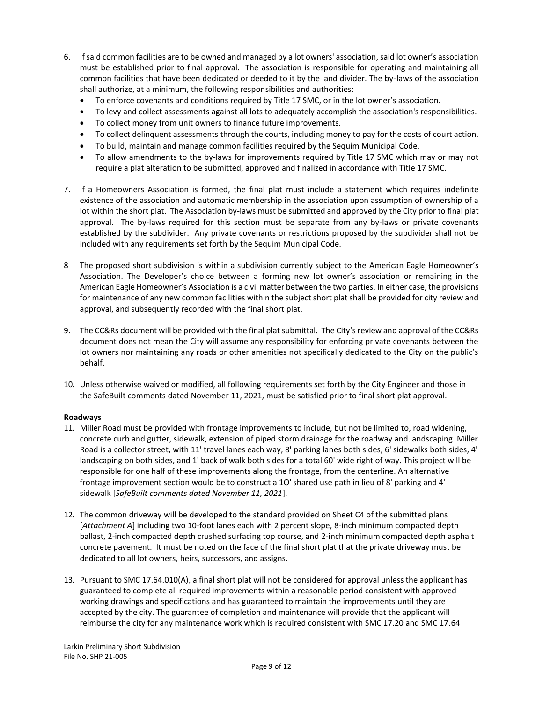- 6. If said common facilities are to be owned and managed by a lot owners' association, said lot owner's association must be established prior to final approval. The association is responsible for operating and maintaining all common facilities that have been dedicated or deeded to it by the land divider. The by-laws of the association shall authorize, at a minimum, the following responsibilities and authorities:
	- To enforce covenants and conditions required by Title 17 SMC, or in the lot owner's association.
	- To levy and collect assessments against all lots to adequately accomplish the association's responsibilities.
	- To collect money from unit owners to finance future improvements.
	- To collect delinquent assessments through the courts, including money to pay for the costs of court action.
	- To build, maintain and manage common facilities required by the Sequim Municipal Code.
	- To allow amendments to the by-laws for improvements required by Title 17 SMC which may or may not require a plat alteration to be submitted, approved and finalized in accordance with Title 17 SMC.
- 7. If a Homeowners Association is formed, the final plat must include a statement which requires indefinite existence of the association and automatic membership in the association upon assumption of ownership of a lot within the short plat. The Association by-laws must be submitted and approved by the City prior to final plat approval. The by-laws required for this section must be separate from any by-laws or private covenants established by the subdivider. Any private covenants or restrictions proposed by the subdivider shall not be included with any requirements set forth by the Sequim Municipal Code.
- 8 The proposed short subdivision is within a subdivision currently subject to the American Eagle Homeowner's Association. The Developer's choice between a forming new lot owner's association or remaining in the American Eagle Homeowner's Association is a civil matter between the two parties. In either case, the provisions for maintenance of any new common facilities within the subject short plat shall be provided for city review and approval, and subsequently recorded with the final short plat.
- 9. The CC&Rs document will be provided with the final plat submittal. The City's review and approval of the CC&Rs document does not mean the City will assume any responsibility for enforcing private covenants between the lot owners nor maintaining any roads or other amenities not specifically dedicated to the City on the public's behalf.
- 10. Unless otherwise waived or modified, all following requirements set forth by the City Engineer and those in the SafeBuilt comments dated November 11, 2021, must be satisfied prior to final short plat approval.

# **Roadways**

- 11. Miller Road must be provided with frontage improvements to include, but not be limited to, road widening, concrete curb and gutter, sidewalk, extension of piped storm drainage for the roadway and landscaping. Miller Road is a collector street, with 11' travel lanes each way, 8' parking lanes both sides, 6' sidewalks both sides, 4' landscaping on both sides, and 1' back of walk both sides for a total 60' wide right of way. This project will be responsible for one half of these improvements along the frontage, from the centerline. An alternative frontage improvement section would be to construct a 1O' shared use path in lieu of 8' parking and 4' sidewalk [*SafeBuilt comments dated November 11, 2021*].
- 12. The common driveway will be developed to the standard provided on Sheet C4 of the submitted plans [*Attachment A*] including two 10-foot lanes each with 2 percent slope, 8-inch minimum compacted depth ballast, 2-inch compacted depth crushed surfacing top course, and 2-inch minimum compacted depth asphalt concrete pavement. It must be noted on the face of the final short plat that the private driveway must be dedicated to all lot owners, heirs, successors, and assigns.
- 13. Pursuant to SMC 17.64.010(A), a final short plat will not be considered for approval unless the applicant has guaranteed to complete all required improvements within a reasonable period consistent with approved working drawings and specifications and has guaranteed to maintain the improvements until they are accepted by the city. The guarantee of completion and maintenance will provide that the applicant will reimburse the city for any maintenance work which is required consistent with SMC 17.20 and SMC 17.64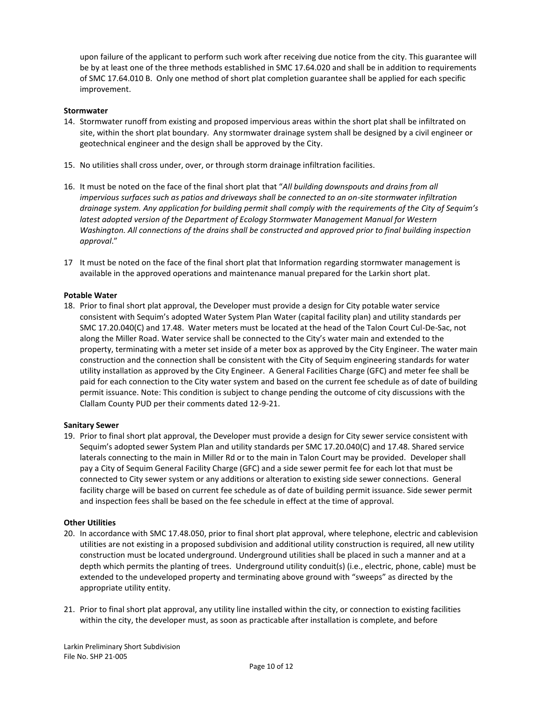upon failure of the applicant to perform such work after receiving due notice from the city. This guarantee will be by at least one of the three methods established in SMC 17.64.020 and shall be in addition to requirements of SMC 17.64.010 B. Only one method of short plat completion guarantee shall be applied for each specific improvement.

### **Stormwater**

- 14. Stormwater runoff from existing and proposed impervious areas within the short plat shall be infiltrated on site, within the short plat boundary. Any stormwater drainage system shall be designed by a civil engineer or geotechnical engineer and the design shall be approved by the City.
- 15. No utilities shall cross under, over, or through storm drainage infiltration facilities.
- 16. It must be noted on the face of the final short plat that "*All building downspouts and drains from all impervious surfaces such as patios and driveways shall be connected to an on-site stormwater infiltration drainage system. Any application for building permit shall comply with the requirements of the City of Sequim's* latest adopted version of the Department of Ecology Stormwater Management Manual for Western *Washington. All connections of the drains shall be constructed and approved prior to final building inspection approval*."
- 17 It must be noted on the face of the final short plat that Information regarding stormwater management is available in the approved operations and maintenance manual prepared for the Larkin short plat.

### **Potable Water**

18. Prior to final short plat approval, the Developer must provide a design for City potable water service consistent with Sequim's adopted Water System Plan Water (capital facility plan) and utility standards per SMC 17.20.040(C) and 17.48. Water meters must be located at the head of the Talon Court Cul-De-Sac, not along the Miller Road. Water service shall be connected to the City's water main and extended to the property, terminating with a meter set inside of a meter box as approved by the City Engineer. The water main construction and the connection shall be consistent with the City of Sequim engineering standards for water utility installation as approved by the City Engineer. A General Facilities Charge (GFC) and meter fee shall be paid for each connection to the City water system and based on the current fee schedule as of date of building permit issuance. Note: This condition is subject to change pending the outcome of city discussions with the Clallam County PUD per their comments dated 12-9-21.

### **Sanitary Sewer**

19. Prior to final short plat approval, the Developer must provide a design for City sewer service consistent with Sequim's adopted sewer System Plan and utility standards per SMC 17.20.040(C) and 17.48. Shared service laterals connecting to the main in Miller Rd or to the main in Talon Court may be provided. Developer shall pay a City of Sequim General Facility Charge (GFC) and a side sewer permit fee for each lot that must be connected to City sewer system or any additions or alteration to existing side sewer connections. General facility charge will be based on current fee schedule as of date of building permit issuance. Side sewer permit and inspection fees shall be based on the fee schedule in effect at the time of approval.

### **Other Utilities**

- 20. In accordance with SMC 17.48.050, prior to final short plat approval, where telephone, electric and cablevision utilities are not existing in a proposed subdivision and additional utility construction is required, all new utility construction must be located underground. Underground utilities shall be placed in such a manner and at a depth which permits the planting of trees. Underground utility conduit(s) (i.e., electric, phone, cable) must be extended to the undeveloped property and terminating above ground with "sweeps" as directed by the appropriate utility entity.
- 21. Prior to final short plat approval, any utility line installed within the city, or connection to existing facilities within the city, the developer must, as soon as practicable after installation is complete, and before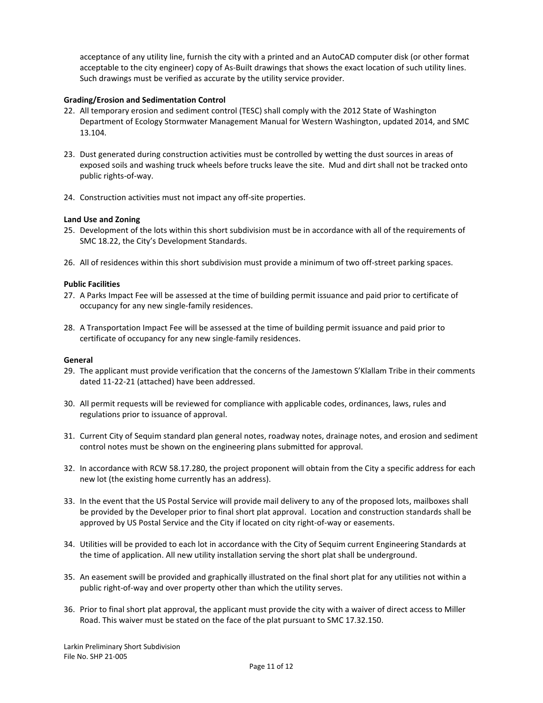acceptance of any utility line, furnish the city with a printed and an AutoCAD computer disk (or other format acceptable to the city engineer) copy of As-Built drawings that shows the exact location of such utility lines. Such drawings must be verified as accurate by the utility service provider.

### **Grading/Erosion and Sedimentation Control**

- 22. All temporary erosion and sediment control (TESC) shall comply with the 2012 State of Washington Department of Ecology Stormwater Management Manual for Western Washington, updated 2014, and SMC 13.104.
- 23. Dust generated during construction activities must be controlled by wetting the dust sources in areas of exposed soils and washing truck wheels before trucks leave the site. Mud and dirt shall not be tracked onto public rights-of-way.
- 24. Construction activities must not impact any off-site properties.

### **Land Use and Zoning**

- 25. Development of the lots within this short subdivision must be in accordance with all of the requirements of SMC 18.22, the City's Development Standards.
- 26. All of residences within this short subdivision must provide a minimum of two off-street parking spaces.

### **Public Facilities**

- 27. A Parks Impact Fee will be assessed at the time of building permit issuance and paid prior to certificate of occupancy for any new single-family residences.
- 28. A Transportation Impact Fee will be assessed at the time of building permit issuance and paid prior to certificate of occupancy for any new single-family residences.

### **General**

- 29. The applicant must provide verification that the concerns of the Jamestown S'Klallam Tribe in their comments dated 11-22-21 (attached) have been addressed.
- 30. All permit requests will be reviewed for compliance with applicable codes, ordinances, laws, rules and regulations prior to issuance of approval.
- 31. Current City of Sequim standard plan general notes, roadway notes, drainage notes, and erosion and sediment control notes must be shown on the engineering plans submitted for approval.
- 32. In accordance with RCW 58.17.280, the project proponent will obtain from the City a specific address for each new lot (the existing home currently has an address).
- 33. In the event that the US Postal Service will provide mail delivery to any of the proposed lots, mailboxes shall be provided by the Developer prior to final short plat approval. Location and construction standards shall be approved by US Postal Service and the City if located on city right-of-way or easements.
- 34. Utilities will be provided to each lot in accordance with the City of Sequim current Engineering Standards at the time of application. All new utility installation serving the short plat shall be underground.
- 35. An easement swill be provided and graphically illustrated on the final short plat for any utilities not within a public right-of-way and over property other than which the utility serves.
- 36. Prior to final short plat approval, the applicant must provide the city with a waiver of direct access to Miller Road. This waiver must be stated on the face of the plat pursuant to SMC 17.32.150.